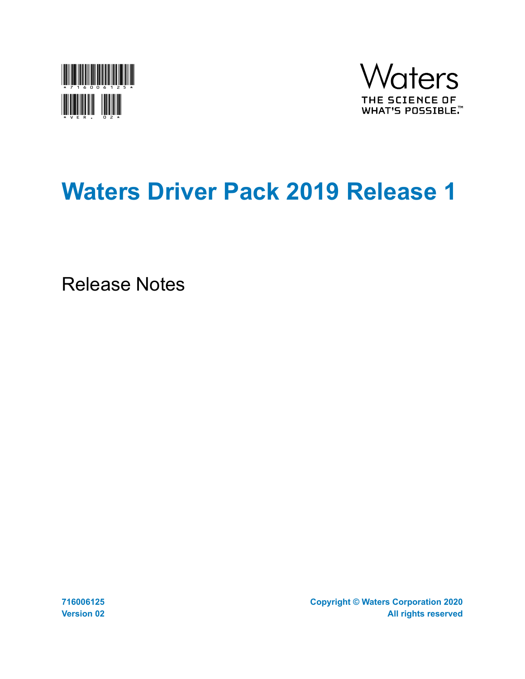



# **Waters Driver Pack 2019 Release 1**

Release Notes

**716006125 Version 02** **Copyright © Waters Corporation 2020 All rights reserved**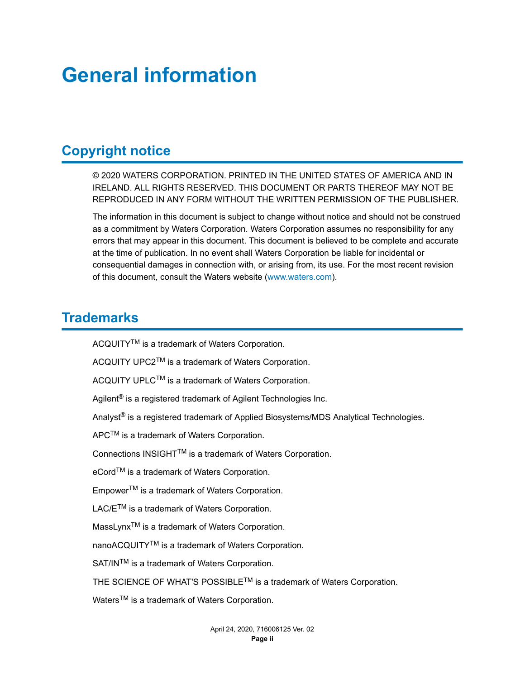# <span id="page-1-0"></span>**General information**

# **Copyright notice**

© 2020 WATERS CORPORATION. PRINTED IN THE UNITED STATES OF AMERICA AND IN IRELAND. ALL RIGHTS RESERVED. THIS DOCUMENT OR PARTS THEREOF MAY NOT BE REPRODUCED IN ANY FORM WITHOUT THE WRITTEN PERMISSION OF THE PUBLISHER.

The information in this document is subject to change without notice and should not be construed as a commitment by Waters Corporation. Waters Corporation assumes no responsibility for any errors that may appear in this document. This document is believed to be complete and accurate at the time of publication. In no event shall Waters Corporation be liable for incidental or consequential damages in connection with, or arising from, its use. For the most recent revision of this document, consult the Waters website [\(www.waters.com](HTTP://WWW.WATERS.COM/)).

# **Trademarks**

ACQUITYTM is a trademark of Waters Corporation.

ACQUITY UPC2TM is a trademark of Waters Corporation.

ACQUITY UPLC<sup>™</sup> is a trademark of Waters Corporation.

Agilent<sup>®</sup> is a registered trademark of Agilent Technologies Inc.

Analyst<sup>®</sup> is a registered trademark of Applied Biosystems/MDS Analytical Technologies.

APCTM is a trademark of Waters Corporation.

Connections INSIGHTTM is a trademark of Waters Corporation.

eCord™ is a trademark of Waters Corporation.

EmpowerTM is a trademark of Waters Corporation.

LAC/E<sup>™</sup> is a trademark of Waters Corporation.

MassLynx<sup>™</sup> is a trademark of Waters Corporation.

nanoACQUITY<sup>TM</sup> is a trademark of Waters Corporation.

SAT/IN™ is a trademark of Waters Corporation.

THE SCIENCE OF WHAT'S POSSIBLE<sup>TM</sup> is a trademark of Waters Corporation.

Waters<sup>™</sup> is a trademark of Waters Corporation.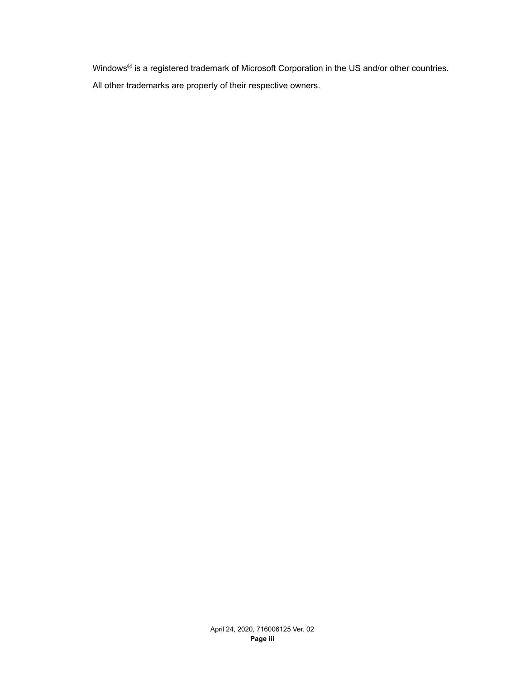Windows<sup>®</sup> is a registered trademark of Microsoft Corporation in the US and/or other countries. All other trademarks are property of their respective owners.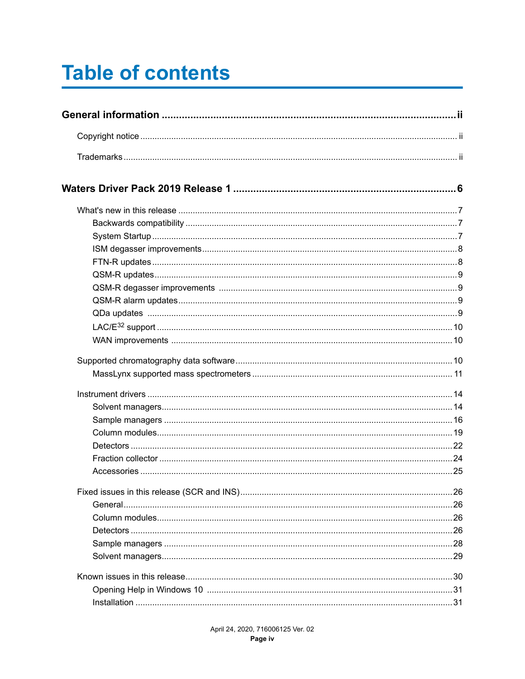# **Table of contents**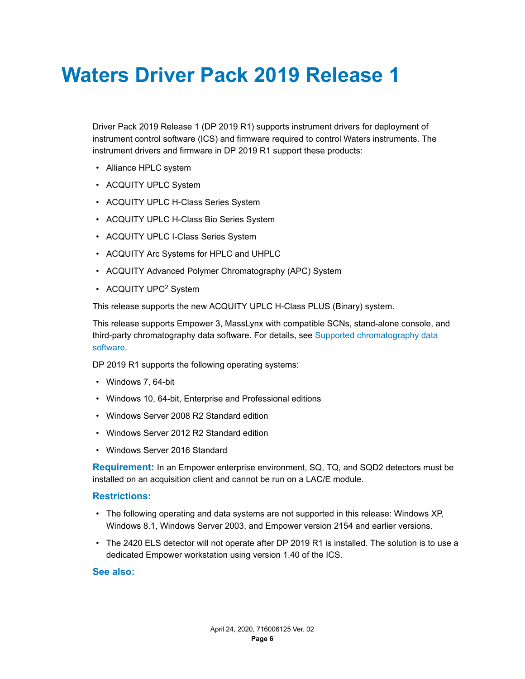# <span id="page-5-0"></span>**Waters Driver Pack 2019 Release 1**

Driver Pack 2019 Release 1 (DP 2019 R1) supports instrument drivers for deployment of instrument control software (ICS) and firmware required to control Waters instruments. The instrument drivers and firmware in DP 2019 R1 support these products:

- Alliance HPLC system
- ACQUITY UPLC System
- ACQUITY UPLC H-Class Series System
- ACQUITY UPLC H-Class Bio Series System
- ACQUITY UPLC I-Class Series System
- ACQUITY Arc Systems for HPLC and UHPLC
- ACQUITY Advanced Polymer Chromatography (APC) System
- ACQUITY UPC<sup>2</sup> System

This release supports the new ACQUITY UPLC H-Class PLUS (Binary) system.

This release supports Empower 3, MassLynx with compatible SCNs, stand-alone console, and third-party chromatography data software. For details, see [Supported chromatography data](#page-9-0) [software.](#page-9-0)

DP 2019 R1 supports the following operating systems:

- Windows 7, 64-bit
- Windows 10, 64-bit, Enterprise and Professional editions
- Windows Server 2008 R2 Standard edition
- Windows Server 2012 R2 Standard edition
- Windows Server 2016 Standard

**Requirement:** In an Empower enterprise environment, SQ, TQ, and SQD2 detectors must be installed on an acquisition client and cannot be run on a LAC/E module.

#### **Restrictions:**

- The following operating and data systems are not supported in this release: Windows XP, Windows 8.1, Windows Server 2003, and Empower version 2154 and earlier versions.
- The 2420 ELS detector will not operate after DP 2019 R1 is installed. The solution is to use a dedicated Empower workstation using version 1.40 of the ICS.

#### **See also:**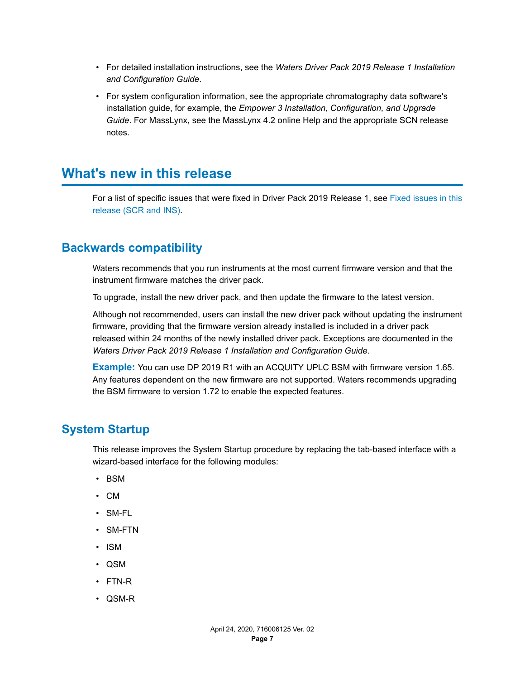- <span id="page-6-0"></span>• For detailed installation instructions, see the *Waters Driver Pack 2019 Release 1 Installation and Configuration Guide*.
- For system configuration information, see the appropriate chromatography data software's installation guide, for example, the *Empower 3 Installation, Configuration, and Upgrade Guide*. For MassLynx, see the MassLynx 4.2 online Help and the appropriate SCN release notes.

# **What's new in this release**

For a list of specific issues that were fixed in Driver Pack 2019 Release 1, see [Fixed issues in this](#page-25-0) [release \(SCR and INS\)](#page-25-0).

## **Backwards compatibility**

Waters recommends that you run instruments at the most current firmware version and that the instrument firmware matches the driver pack.

To upgrade, install the new driver pack, and then update the firmware to the latest version.

Although not recommended, users can install the new driver pack without updating the instrument firmware, providing that the firmware version already installed is included in a driver pack released within 24 months of the newly installed driver pack. Exceptions are documented in the *Waters Driver Pack 2019 Release 1 Installation and Configuration Guide*.

**Example:** You can use DP 2019 R1 with an ACQUITY UPLC BSM with firmware version 1.65. Any features dependent on the new firmware are not supported. Waters recommends upgrading the BSM firmware to version 1.72 to enable the expected features.

### **System Startup**

This release improves the System Startup procedure by replacing the tab-based interface with a wizard-based interface for the following modules:

- BSM
- CM
- SM-FL
- SM-FTN
- ISM
- QSM
- FTN-R
- QSM-R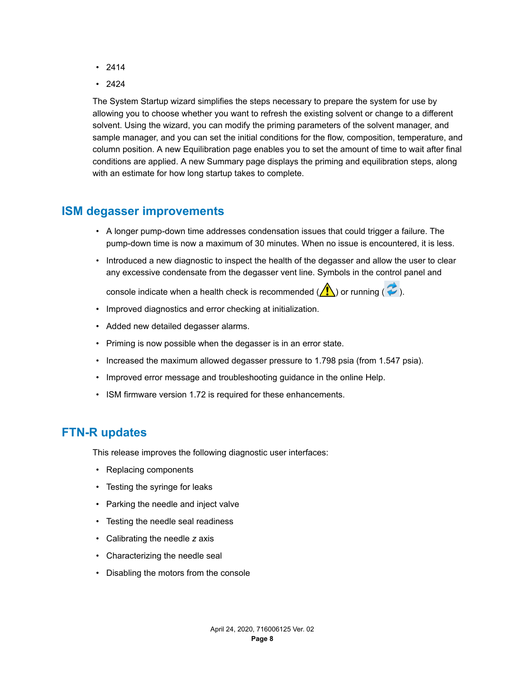- <span id="page-7-0"></span>• 2414
- 2424

The System Startup wizard simplifies the steps necessary to prepare the system for use by allowing you to choose whether you want to refresh the existing solvent or change to a different solvent. Using the wizard, you can modify the priming parameters of the solvent manager, and sample manager, and you can set the initial conditions for the flow, composition, temperature, and column position. A new Equilibration page enables you to set the amount of time to wait after final conditions are applied. A new Summary page displays the priming and equilibration steps, along with an estimate for how long startup takes to complete.

## **ISM degasser improvements**

- A longer pump-down time addresses condensation issues that could trigger a failure. The pump-down time is now a maximum of 30 minutes. When no issue is encountered, it is less.
- Introduced a new diagnostic to inspect the health of the degasser and allow the user to clear any excessive condensate from the degasser vent line. Symbols in the control panel and

console indicate when a health check is recommended ( $\bigwedge$ ) or running ( $\bigcirc$ ).

- Improved diagnostics and error checking at initialization.
- Added new detailed degasser alarms.
- Priming is now possible when the degasser is in an error state.
- Increased the maximum allowed degasser pressure to 1.798 psia (from 1.547 psia).
- Improved error message and troubleshooting guidance in the online Help.
- ISM firmware version 1.72 is required for these enhancements.

# **FTN-R updates**

This release improves the following diagnostic user interfaces:

- Replacing components
- Testing the syringe for leaks
- Parking the needle and inject valve
- Testing the needle seal readiness
- Calibrating the needle *z* axis
- Characterizing the needle seal
- Disabling the motors from the console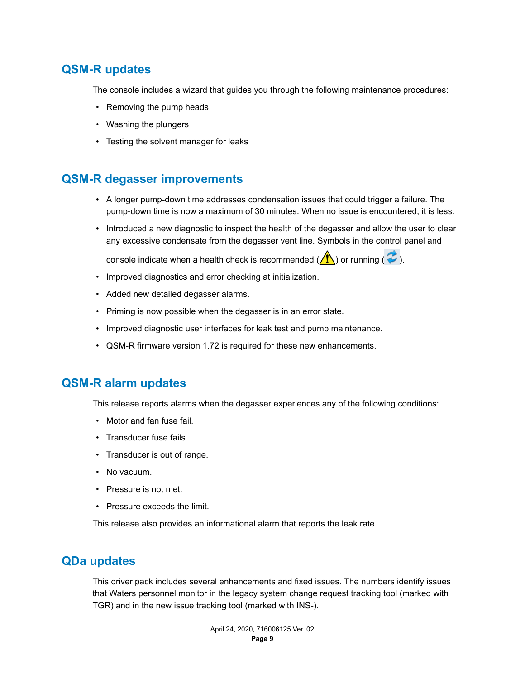# <span id="page-8-0"></span>**QSM-R updates**

The console includes a wizard that guides you through the following maintenance procedures:

- Removing the pump heads
- Washing the plungers
- Testing the solvent manager for leaks

# **QSM-R degasser improvements**

- A longer pump-down time addresses condensation issues that could trigger a failure. The pump-down time is now a maximum of 30 minutes. When no issue is encountered, it is less.
- Introduced a new diagnostic to inspect the health of the degasser and allow the user to clear any excessive condensate from the degasser vent line. Symbols in the control panel and

console indicate when a health check is recommended ( $\binom{n}{k}$ ) or running ( $\neq$ ).

- Improved diagnostics and error checking at initialization.
- Added new detailed degasser alarms.
- Priming is now possible when the degasser is in an error state.
- Improved diagnostic user interfaces for leak test and pump maintenance.
- QSM-R firmware version 1.72 is required for these new enhancements.

# **QSM-R alarm updates**

This release reports alarms when the degasser experiences any of the following conditions:

- Motor and fan fuse fail.
- Transducer fuse fails.
- Transducer is out of range.
- No vacuum.
- Pressure is not met.
- Pressure exceeds the limit.

This release also provides an informational alarm that reports the leak rate.

### **QDa updates**

This driver pack includes several enhancements and fixed issues. The numbers identify issues that Waters personnel monitor in the legacy system change request tracking tool (marked with TGR) and in the new issue tracking tool (marked with INS-).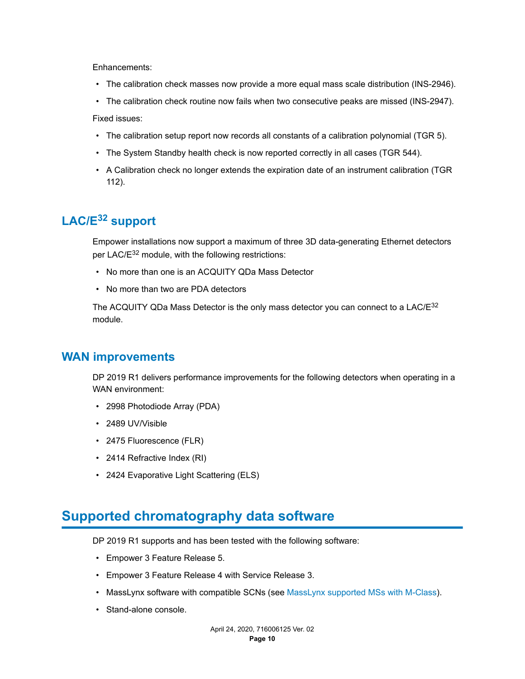<span id="page-9-0"></span>Enhancements:

- The calibration check masses now provide a more equal mass scale distribution (INS-2946).
- The calibration check routine now fails when two consecutive peaks are missed (INS-2947). Fixed issues:
- The calibration setup report now records all constants of a calibration polynomial (TGR 5).
- The System Standby health check is now reported correctly in all cases (TGR 544).
- A Calibration check no longer extends the expiration date of an instrument calibration (TGR 112).

# **LAC/E32 support**

Empower installations now support a maximum of three 3D data-generating Ethernet detectors per LAC/E<sup>32</sup> module, with the following restrictions:

- No more than one is an ACQUITY QDa Mass Detector
- No more than two are PDA detectors

The ACQUITY QDa Mass Detector is the only mass detector you can connect to a LAC/ $E^{32}$ module.

### **WAN improvements**

DP 2019 R1 delivers performance improvements for the following detectors when operating in a WAN environment:

- 2998 Photodiode Array (PDA)
- 2489 UV/Visible
- 2475 Fluorescence (FLR)
- 2414 Refractive Index (RI)
- 2424 Evaporative Light Scattering (ELS)

# **Supported chromatography data software**

DP 2019 R1 supports and has been tested with the following software:

- Empower 3 Feature Release 5.
- Empower 3 Feature Release 4 with Service Release 3.
- MassLynx software with compatible SCNs (see [MassLynx supported MSs with M-Class](#page-10-0)).
- Stand-alone console.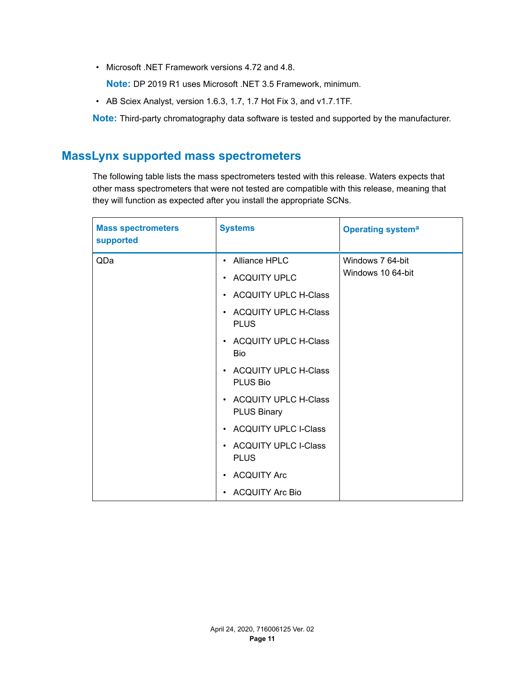<span id="page-10-0"></span>• Microsoft .NET Framework versions 4.72 and 4.8.

**Note:** DP 2019 R1 uses Microsoft .NET 3.5 Framework, minimum.

• AB Sciex Analyst, version 1.6.3, 1.7, 1.7 Hot Fix 3, and v1.7.1TF.

**Note:** Third-party chromatography data software is tested and supported by the manufacturer.

# **MassLynx supported mass spectrometers**

The following table lists the mass spectrometers tested with this release. Waters expects that other mass spectrometers that were not tested are compatible with this release, meaning that they will function as expected after you install the appropriate SCNs.

| <b>Mass spectrometers</b><br>supported | <b>Systems</b>                               | <b>Operating systema</b> |
|----------------------------------------|----------------------------------------------|--------------------------|
| QDa                                    | Alliance HPLC<br>$\bullet$                   | Windows 7 64-bit         |
|                                        | • ACQUITY UPLC                               | Windows 10 64-bit        |
|                                        | • ACQUITY UPLC H-Class                       |                          |
|                                        | • ACQUITY UPLC H-Class<br><b>PLUS</b>        |                          |
|                                        | • ACQUITY UPLC H-Class<br><b>Bio</b>         |                          |
|                                        | • ACQUITY UPLC H-Class<br>PLUS Bio           |                          |
|                                        | • ACQUITY UPLC H-Class<br><b>PLUS Binary</b> |                          |
|                                        | • ACQUITY UPLC I-Class                       |                          |
|                                        | • ACQUITY UPLC I-Class<br><b>PLUS</b>        |                          |
|                                        | • ACQUITY Arc                                |                          |
|                                        | • ACQUITY Arc Bio                            |                          |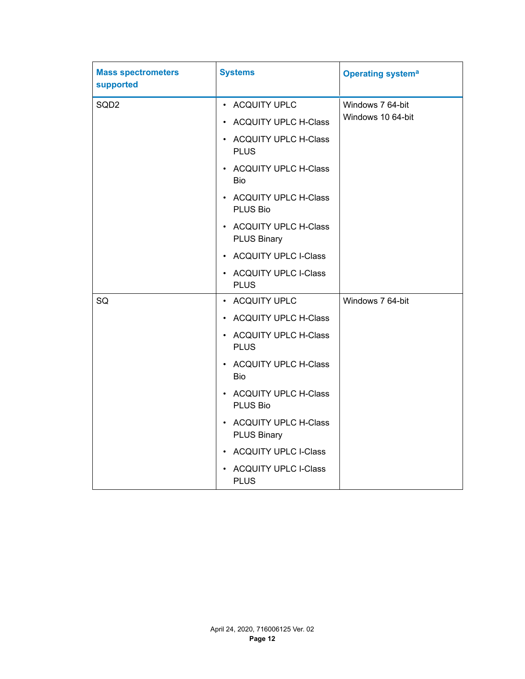| <b>Mass spectrometers</b><br>supported | <b>Systems</b>                                                 | <b>Operating systema</b> |
|----------------------------------------|----------------------------------------------------------------|--------------------------|
| SQD <sub>2</sub>                       | • ACQUITY UPLC                                                 | Windows 7 64-bit         |
|                                        | • ACQUITY UPLC H-Class                                         | Windows 10 64-bit        |
|                                        | • ACQUITY UPLC H-Class<br><b>PLUS</b>                          |                          |
|                                        | • ACQUITY UPLC H-Class<br>Bio                                  |                          |
|                                        | • ACQUITY UPLC H-Class<br>PLUS Bio                             |                          |
|                                        | • ACQUITY UPLC H-Class<br><b>PLUS Binary</b>                   |                          |
|                                        | <b>ACQUITY UPLC I-Class</b><br>$\bullet$                       |                          |
|                                        | <b>ACQUITY UPLC I-Class</b><br><b>PLUS</b>                     |                          |
| SQ                                     | • ACQUITY UPLC                                                 | Windows 7 64-bit         |
|                                        | • ACQUITY UPLC H-Class                                         |                          |
|                                        | • ACQUITY UPLC H-Class<br><b>PLUS</b>                          |                          |
|                                        | <b>ACQUITY UPLC H-Class</b><br>$\bullet$<br>Bio                |                          |
|                                        | <b>ACQUITY UPLC H-Class</b><br>$\bullet$<br>PLUS Bio           |                          |
|                                        | <b>ACQUITY UPLC H-Class</b><br>$\bullet$<br><b>PLUS Binary</b> |                          |
|                                        | <b>ACQUITY UPLC I-Class</b><br>$\bullet$                       |                          |
|                                        | <b>ACQUITY UPLC I-Class</b><br><b>PLUS</b>                     |                          |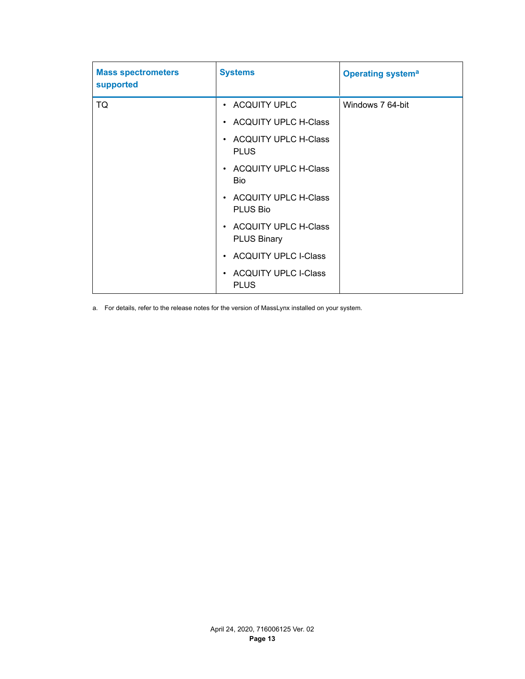<span id="page-12-0"></span>

| <b>Mass spectrometers</b><br>supported | <b>Systems</b>                               | <b>Operating systema</b> |
|----------------------------------------|----------------------------------------------|--------------------------|
| TQ                                     | • ACQUITY UPLC                               | Windows 7 64-bit         |
|                                        | • ACQUITY UPLC H-Class                       |                          |
|                                        | • ACQUITY UPLC H-Class<br><b>PLUS</b>        |                          |
|                                        | • ACQUITY UPLC H-Class<br><b>Bio</b>         |                          |
|                                        | • ACQUITY UPLC H-Class<br>PLUS Bio           |                          |
|                                        | • ACQUITY UPLC H-Class<br><b>PLUS Binary</b> |                          |
|                                        | • ACQUITY UPLC I-Class                       |                          |
|                                        | • ACQUITY UPLC I-Class<br><b>PLUS</b>        |                          |

a. For details, refer to the release notes for the version of MassLynx installed on your system.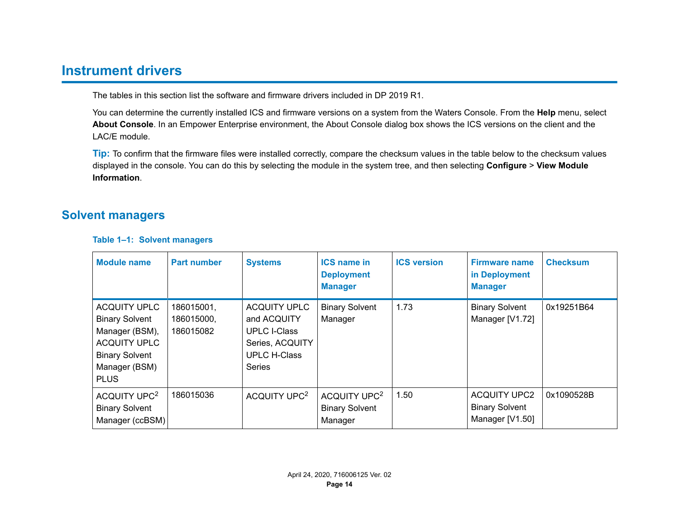# <span id="page-13-0"></span>**Instrument drivers**

The tables in this section list the software and firmware drivers included in DP 2019 R1.

You can determine the currently installed ICS and firmware versions on a system from the Waters Console. From the **Help** menu, select **About Console**. In an Empower Enterprise environment, the About Console dialog box shows the ICS versions on the client and the LAC/E module.

**Tip:** To confirm that the firmware files were installed correctly, compare the checksum values in the table below to the checksum values displayed in the console. You can do this by selecting the module in the system tree, and then selecting **Configure** > **View Module Information**.

# **Solvent managers**

| <b>Module name</b>                                                                                                                             | <b>Part number</b>                    | <b>Systems</b>                                                                                                       | <b>ICS name in</b><br><b>Deployment</b><br><b>Manager</b>    | <b>ICS version</b> | <b>Firmware name</b><br>in Deployment<br><b>Manager</b>         | <b>Checksum</b> |
|------------------------------------------------------------------------------------------------------------------------------------------------|---------------------------------------|----------------------------------------------------------------------------------------------------------------------|--------------------------------------------------------------|--------------------|-----------------------------------------------------------------|-----------------|
| <b>ACQUITY UPLC</b><br><b>Binary Solvent</b><br>Manager (BSM),<br><b>ACQUITY UPLC</b><br><b>Binary Solvent</b><br>Manager (BSM)<br><b>PLUS</b> | 186015001,<br>186015000,<br>186015082 | <b>ACQUITY UPLC</b><br>and ACQUITY<br><b>UPLC I-Class</b><br>Series, ACQUITY<br><b>UPLC H-Class</b><br><b>Series</b> | <b>Binary Solvent</b><br>Manager                             | 1.73               | <b>Binary Solvent</b><br>Manager [V1.72]                        | 0x19251B64      |
| ACQUITY UPC <sup>2</sup><br><b>Binary Solvent</b><br>Manager (ccBSM)                                                                           | 186015036                             | ACQUITY UPC <sup>2</sup>                                                                                             | ACQUITY UPC <sup>2</sup><br><b>Binary Solvent</b><br>Manager | 1.50               | <b>ACQUITY UPC2</b><br><b>Binary Solvent</b><br>Manager [V1.50] | 0x1090528B      |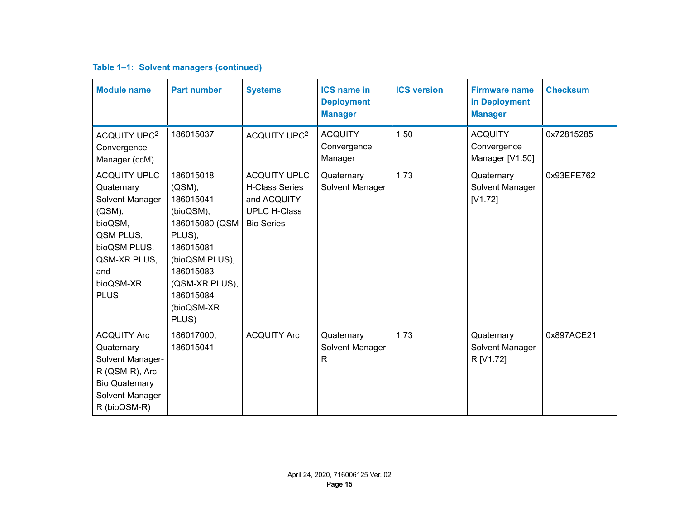|  | Table 1-1: Solvent managers (continued) |  |
|--|-----------------------------------------|--|
|--|-----------------------------------------|--|

| <b>Module name</b>                                                                                                                                        | <b>Part number</b>                                                                                                                                                             | <b>Systems</b>                                                                                          | <b>ICS name in</b><br><b>Deployment</b><br><b>Manager</b> | <b>ICS version</b> | <b>Firmware name</b><br>in Deployment<br><b>Manager</b> | <b>Checksum</b> |
|-----------------------------------------------------------------------------------------------------------------------------------------------------------|--------------------------------------------------------------------------------------------------------------------------------------------------------------------------------|---------------------------------------------------------------------------------------------------------|-----------------------------------------------------------|--------------------|---------------------------------------------------------|-----------------|
| <b>ACQUITY UPC<sup>2</sup></b><br>Convergence<br>Manager (ccM)                                                                                            | 186015037                                                                                                                                                                      | ACQUITY UPC <sup>2</sup>                                                                                | <b>ACQUITY</b><br>Convergence<br>Manager                  | 1.50               | <b>ACQUITY</b><br>Convergence<br>Manager [V1.50]        | 0x72815285      |
| <b>ACQUITY UPLC</b><br>Quaternary<br>Solvent Manager<br>(QSM),<br>bioQSM,<br>QSM PLUS,<br>bioQSM PLUS,<br>QSM-XR PLUS,<br>and<br>bioQSM-XR<br><b>PLUS</b> | 186015018<br>$(QSM)$ ,<br>186015041<br>(bioQSM),<br>186015080 (QSM<br>PLUS),<br>186015081<br>(bioQSM PLUS),<br>186015083<br>(QSM-XR PLUS),<br>186015084<br>(bioQSM-XR<br>PLUS) | <b>ACQUITY UPLC</b><br><b>H-Class Series</b><br>and ACQUITY<br><b>UPLC H-Class</b><br><b>Bio Series</b> | Quaternary<br>Solvent Manager                             | 1.73               | Quaternary<br>Solvent Manager<br>[V1.72]                | 0x93EFE762      |
| <b>ACQUITY Arc</b><br>Quaternary<br>Solvent Manager-<br>R (QSM-R), Arc<br><b>Bio Quaternary</b><br>Solvent Manager-<br>R (bioQSM-R)                       | 186017000,<br>186015041                                                                                                                                                        | <b>ACQUITY Arc</b>                                                                                      | Quaternary<br>Solvent Manager-<br>R                       | 1.73               | Quaternary<br>Solvent Manager-<br>R [V1.72]             | 0x897ACE21      |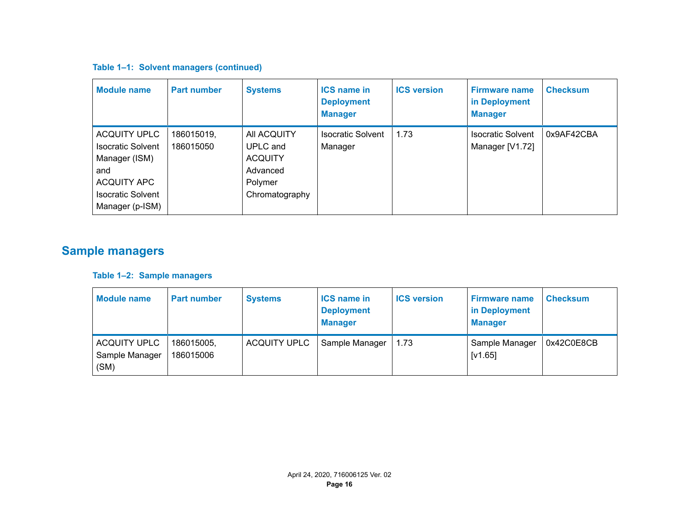### <span id="page-15-0"></span>**Table 1–1: Solvent managers (continued)**

| <b>Module name</b>                                                                                                                    | <b>Part number</b>      | <b>Systems</b>                                                                     | <b>ICS name in</b><br><b>Deployment</b><br><b>Manager</b> | <b>ICS version</b> | <b>Firmware name</b><br>in Deployment<br><b>Manager</b> | <b>Checksum</b> |
|---------------------------------------------------------------------------------------------------------------------------------------|-------------------------|------------------------------------------------------------------------------------|-----------------------------------------------------------|--------------------|---------------------------------------------------------|-----------------|
| <b>ACQUITY UPLC</b><br><b>Isocratic Solvent</b><br>Manager (ISM)<br>and<br>ACQUITY APC<br><b>Isocratic Solvent</b><br>Manager (p-ISM) | 186015019,<br>186015050 | All ACQUITY<br>UPLC and<br><b>ACQUITY</b><br>Advanced<br>Polymer<br>Chromatography | <b>Isocratic Solvent</b><br>Manager                       | 1.73               | <b>Isocratic Solvent</b><br>Manager [V1.72]             | 0x9AF42CBA      |

# **Sample managers**

### **Table 1–2: Sample managers**

| <b>Module name</b>                            | <b>Part number</b>      | <b>Systems</b>      | <b>ICS name in</b><br><b>Deployment</b><br><b>Manager</b> | <b>ICS version</b> | <b>Firmware name</b><br>in Deployment<br><b>Manager</b> | <b>Checksum</b> |
|-----------------------------------------------|-------------------------|---------------------|-----------------------------------------------------------|--------------------|---------------------------------------------------------|-----------------|
| <b>ACQUITY UPLC</b><br>Sample Manager<br>(SM) | 186015005,<br>186015006 | <b>ACQUITY UPLC</b> | Sample Manager                                            | 1.73               | Sample Manager<br>[V1.65]                               | 0x42C0E8CB      |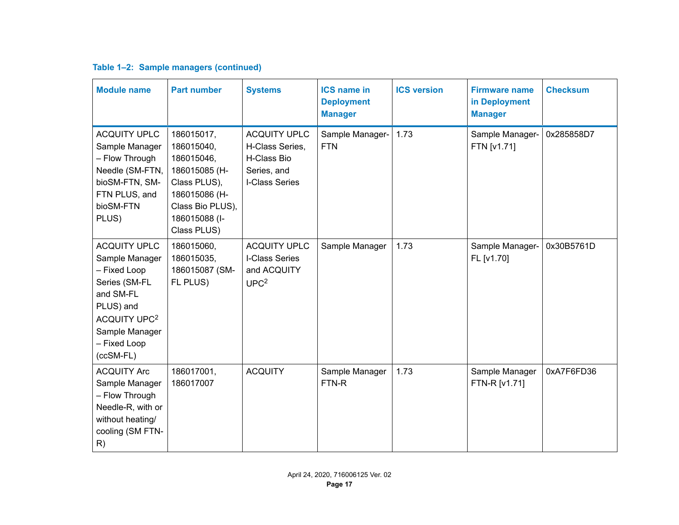| Table 1-2: Sample managers (continued) |  |
|----------------------------------------|--|
|----------------------------------------|--|

| <b>Module name</b>                                                                                                                                                                  | <b>Part number</b>                                                                                                                           | <b>Systems</b>                                                                         | <b>ICS name in</b><br><b>Deployment</b><br><b>Manager</b> | <b>ICS version</b> | <b>Firmware name</b><br>in Deployment<br><b>Manager</b> | <b>Checksum</b> |
|-------------------------------------------------------------------------------------------------------------------------------------------------------------------------------------|----------------------------------------------------------------------------------------------------------------------------------------------|----------------------------------------------------------------------------------------|-----------------------------------------------------------|--------------------|---------------------------------------------------------|-----------------|
| <b>ACQUITY UPLC</b><br>Sample Manager<br>- Flow Through<br>Needle (SM-FTN,<br>bioSM-FTN, SM-<br>FTN PLUS, and<br>bioSM-FTN<br>PLUS)                                                 | 186015017,<br>186015040,<br>186015046,<br>186015085 (H-<br>Class PLUS),<br>186015086 (H-<br>Class Bio PLUS),<br>186015088 (I-<br>Class PLUS) | <b>ACQUITY UPLC</b><br>H-Class Series,<br>H-Class Bio<br>Series, and<br>I-Class Series | Sample Manager-<br><b>FTN</b>                             | 1.73               | Sample Manager-<br>FTN [v1.71]                          | 0x285858D7      |
| <b>ACQUITY UPLC</b><br>Sample Manager<br>- Fixed Loop<br>Series (SM-FL<br>and SM-FL<br>PLUS) and<br><b>ACQUITY UPC<sup>2</sup></b><br>Sample Manager<br>- Fixed Loop<br>$(ccSM-FL)$ | 186015060,<br>186015035,<br>186015087 (SM-<br>FL PLUS)                                                                                       | <b>ACQUITY UPLC</b><br>I-Class Series<br>and ACQUITY<br>UPC <sup>2</sup>               | Sample Manager                                            | 1.73               | Sample Manager-<br>FL [v1.70]                           | 0x30B5761D      |
| <b>ACQUITY Arc</b><br>Sample Manager<br>- Flow Through<br>Needle-R, with or<br>without heating/<br>cooling (SM FTN-<br>R)                                                           | 186017001,<br>186017007                                                                                                                      | <b>ACQUITY</b>                                                                         | Sample Manager<br>FTN-R                                   | 1.73               | Sample Manager<br>FTN-R [v1.71]                         | 0xA7F6FD36      |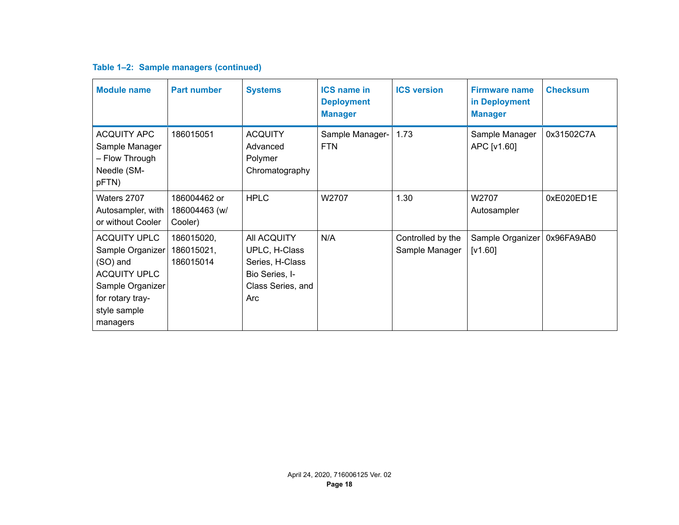| Table 1-2: Sample managers (continued) |  |  |  |  |
|----------------------------------------|--|--|--|--|
|----------------------------------------|--|--|--|--|

| <b>Module name</b>                                                                                                                             | <b>Part number</b>                       | <b>Systems</b>                                                                                | <b>ICS name in</b><br><b>Deployment</b><br><b>Manager</b> | <b>ICS version</b>                  | <b>Firmware name</b><br>in Deployment<br><b>Manager</b> | <b>Checksum</b> |
|------------------------------------------------------------------------------------------------------------------------------------------------|------------------------------------------|-----------------------------------------------------------------------------------------------|-----------------------------------------------------------|-------------------------------------|---------------------------------------------------------|-----------------|
| <b>ACQUITY APC</b><br>Sample Manager<br>- Flow Through<br>Needle (SM-<br>pFTN)                                                                 | 186015051                                | <b>ACQUITY</b><br>Advanced<br>Polymer<br>Chromatography                                       | Sample Manager-<br><b>FTN</b>                             | 1.73                                | Sample Manager<br>APC [v1.60]                           | 0x31502C7A      |
| Waters 2707<br>Autosampler, with<br>or without Cooler                                                                                          | 186004462 or<br>186004463 (w/<br>Cooler) | <b>HPLC</b>                                                                                   | W2707                                                     | 1.30                                | W2707<br>Autosampler                                    | 0xE020ED1E      |
| <b>ACQUITY UPLC</b><br>Sample Organizer<br>(SO) and<br><b>ACQUITY UPLC</b><br>Sample Organizer<br>for rotary tray-<br>style sample<br>managers | 186015020,<br>186015021,<br>186015014    | All ACQUITY<br>UPLC, H-Class<br>Series, H-Class<br>Bio Series, I-<br>Class Series, and<br>Arc | N/A                                                       | Controlled by the<br>Sample Manager | Sample Organizer<br>[V1.60]                             | 0x96FA9AB0      |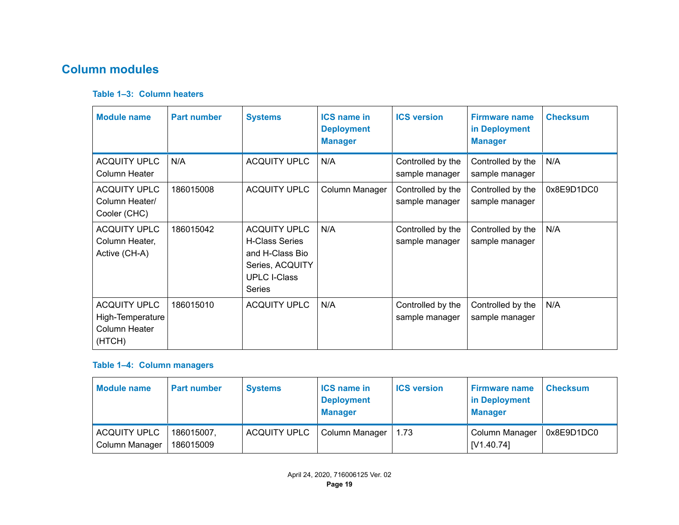# <span id="page-18-0"></span>**Column modules**

### **Table 1–3: Column heaters**

| <b>Module name</b>                                                 | <b>Part number</b> | <b>Systems</b>                                                                                                             | <b>ICS name in</b><br><b>Deployment</b><br><b>Manager</b> | <b>ICS version</b>                  | <b>Firmware name</b><br>in Deployment<br><b>Manager</b> | <b>Checksum</b> |
|--------------------------------------------------------------------|--------------------|----------------------------------------------------------------------------------------------------------------------------|-----------------------------------------------------------|-------------------------------------|---------------------------------------------------------|-----------------|
| <b>ACQUITY UPLC</b><br>Column Heater                               | N/A                | <b>ACQUITY UPLC</b>                                                                                                        | N/A                                                       | Controlled by the<br>sample manager | Controlled by the<br>sample manager                     | N/A             |
| <b>ACQUITY UPLC</b><br>Column Heater/<br>Cooler (CHC)              | 186015008          | <b>ACQUITY UPLC</b>                                                                                                        | Column Manager                                            | Controlled by the<br>sample manager | Controlled by the<br>sample manager                     | 0x8E9D1DC0      |
| <b>ACQUITY UPLC</b><br>Column Heater,<br>Active (CH-A)             | 186015042          | <b>ACQUITY UPLC</b><br><b>H-Class Series</b><br>and H-Class Bio<br>Series, ACQUITY<br><b>UPLC I-Class</b><br><b>Series</b> | N/A                                                       | Controlled by the<br>sample manager | Controlled by the<br>sample manager                     | N/A             |
| <b>ACQUITY UPLC</b><br>High-Temperature<br>Column Heater<br>(HTCH) | 186015010          | <b>ACQUITY UPLC</b>                                                                                                        | N/A                                                       | Controlled by the<br>sample manager | Controlled by the<br>sample manager                     | N/A             |

### **Table 1–4: Column managers**

| <b>Module name</b>                    | <b>Part number</b>      | <b>Systems</b>      | <b>ICS name in</b><br><b>Deployment</b><br><b>Manager</b> | <b>ICS version</b> | <b>Firmware name</b><br>in Deployment<br><b>Manager</b> | <b>Checksum</b> |
|---------------------------------------|-------------------------|---------------------|-----------------------------------------------------------|--------------------|---------------------------------------------------------|-----------------|
| <b>ACQUITY UPLC</b><br>Column Manager | 186015007.<br>186015009 | <b>ACQUITY UPLC</b> | Column Manager                                            | 1.73               | ∣ Column Manager<br>  [V1.40.74]                        | 0x8E9D1DC0      |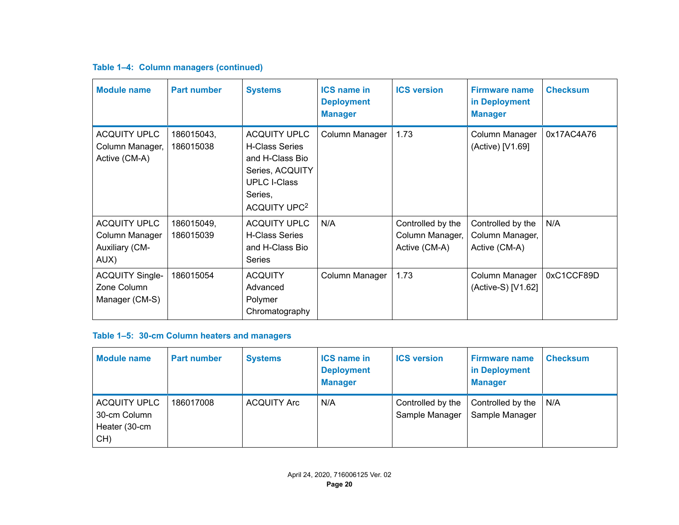### **Table 1–4: Column managers (continued)**

| <b>Module name</b>                                              | <b>Part number</b>      | <b>Systems</b>                                                                                                                                   | <b>ICS name in</b><br><b>Deployment</b><br><b>Manager</b> | <b>ICS version</b>                                    | <b>Firmware name</b><br>in Deployment<br><b>Manager</b> | <b>Checksum</b> |
|-----------------------------------------------------------------|-------------------------|--------------------------------------------------------------------------------------------------------------------------------------------------|-----------------------------------------------------------|-------------------------------------------------------|---------------------------------------------------------|-----------------|
| <b>ACQUITY UPLC</b><br>Column Manager,<br>Active (CM-A)         | 186015043,<br>186015038 | <b>ACQUITY UPLC</b><br><b>H-Class Series</b><br>and H-Class Bio<br>Series, ACQUITY<br><b>UPLC I-Class</b><br>Series,<br>ACQUITY UPC <sup>2</sup> | Column Manager                                            | 1.73                                                  | Column Manager<br>(Active) [V1.69]                      | 0x17AC4A76      |
| <b>ACQUITY UPLC</b><br>Column Manager<br>Auxiliary (CM-<br>AUX) | 186015049,<br>186015039 | <b>ACQUITY UPLC</b><br><b>H-Class Series</b><br>and H-Class Bio<br><b>Series</b>                                                                 | N/A                                                       | Controlled by the<br>Column Manager,<br>Active (CM-A) | Controlled by the<br>Column Manager,<br>Active (CM-A)   | N/A             |
| <b>ACQUITY Single-</b><br>Zone Column<br>Manager (CM-S)         | 186015054               | <b>ACQUITY</b><br>Advanced<br>Polymer<br>Chromatography                                                                                          | Column Manager                                            | 1.73                                                  | Column Manager<br>(Active-S) [V1.62]                    | 0xC1CCF89D      |

### **Table 1–5: 30-cm Column heaters and managers**

| <b>Module name</b>                                          | <b>Part number</b> | <b>Systems</b>     | <b>ICS name in</b><br><b>Deployment</b><br><b>Manager</b> | <b>ICS version</b>                  | <b>Firmware name</b><br>in Deployment<br><b>Manager</b> | <b>Checksum</b> |
|-------------------------------------------------------------|--------------------|--------------------|-----------------------------------------------------------|-------------------------------------|---------------------------------------------------------|-----------------|
| <b>ACQUITY UPLC</b><br>30-cm Column<br>Heater (30-cm<br>CH) | 186017008          | <b>ACQUITY Arc</b> | N/A                                                       | Controlled by the<br>Sample Manager | Controlled by the<br>Sample Manager                     | N/A             |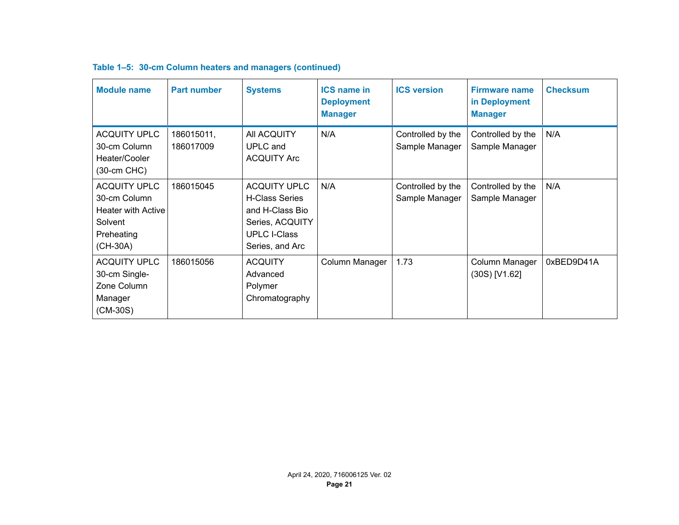| <b>Module name</b>                                                                                    | <b>Part number</b>      | <b>Systems</b>                                                                                                               | <b>ICS name in</b><br><b>Deployment</b><br><b>Manager</b> | <b>ICS version</b>                  | <b>Firmware name</b><br>in Deployment<br><b>Manager</b> | <b>Checksum</b> |
|-------------------------------------------------------------------------------------------------------|-------------------------|------------------------------------------------------------------------------------------------------------------------------|-----------------------------------------------------------|-------------------------------------|---------------------------------------------------------|-----------------|
| <b>ACQUITY UPLC</b><br>30-cm Column<br>Heater/Cooler<br>$(30-cm$ CHC $)$                              | 186015011,<br>186017009 | All ACQUITY<br><b>UPLC</b> and<br><b>ACQUITY Arc</b>                                                                         | N/A                                                       | Controlled by the<br>Sample Manager | Controlled by the<br>Sample Manager                     | N/A             |
| <b>ACQUITY UPLC</b><br>30-cm Column<br><b>Heater with Active</b><br>Solvent<br>Preheating<br>(CH-30A) | 186015045               | <b>ACQUITY UPLC</b><br><b>H-Class Series</b><br>and H-Class Bio<br>Series, ACQUITY<br><b>UPLC I-Class</b><br>Series, and Arc | N/A                                                       | Controlled by the<br>Sample Manager | Controlled by the<br>Sample Manager                     | N/A             |
| <b>ACQUITY UPLC</b><br>30-cm Single-<br>Zone Column<br>Manager<br>$(CM-30S)$                          | 186015056               | <b>ACQUITY</b><br>Advanced<br>Polymer<br>Chromatography                                                                      | Column Manager                                            | 1.73                                | Column Manager<br>$(30S)$ [V1.62]                       | 0xBED9D41A      |

### **Table 1–5: 30-cm Column heaters and managers (continued)**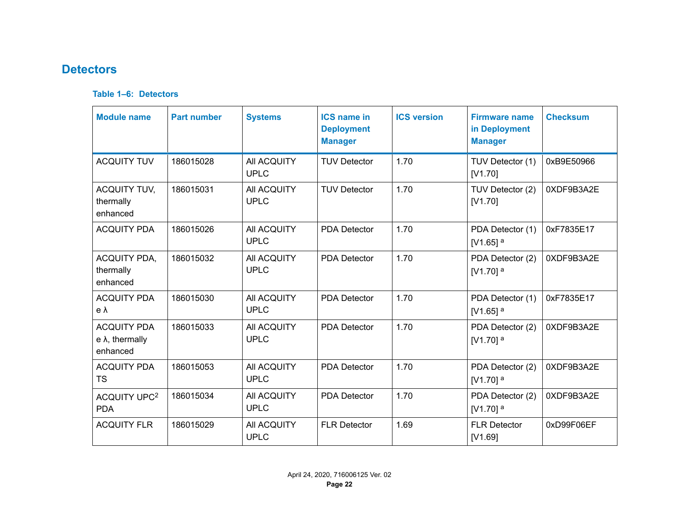# <span id="page-21-0"></span>**Detectors**

#### **Table 1–6: Detectors**

| <b>Module name</b>                                        | <b>Part number</b> | <b>Systems</b>             | <b>ICS name in</b><br><b>Deployment</b><br><b>Manager</b> | <b>ICS version</b> | <b>Firmware name</b><br>in Deployment<br><b>Manager</b> | <b>Checksum</b> |
|-----------------------------------------------------------|--------------------|----------------------------|-----------------------------------------------------------|--------------------|---------------------------------------------------------|-----------------|
| <b>ACQUITY TUV</b>                                        | 186015028          | All ACQUITY<br><b>UPLC</b> | <b>TUV Detector</b>                                       | 1.70               | TUV Detector (1)<br>[V1.70]                             | 0xB9E50966      |
| <b>ACQUITY TUV,</b><br>thermally<br>enhanced              | 186015031          | All ACQUITY<br><b>UPLC</b> | <b>TUV Detector</b>                                       | 1.70               | TUV Detector (2)<br>[V1.70]                             | 0XDF9B3A2E      |
| <b>ACQUITY PDA</b>                                        | 186015026          | All ACQUITY<br><b>UPLC</b> | <b>PDA Detector</b>                                       | 1.70               | PDA Detector (1)<br>[V1.65] $a$                         | 0xF7835E17      |
| <b>ACQUITY PDA,</b><br>thermally<br>enhanced              | 186015032          | All ACQUITY<br><b>UPLC</b> | <b>PDA Detector</b>                                       | 1.70               | PDA Detector (2)<br>[ $V1.70$ ] $a$                     | 0XDF9B3A2E      |
| <b>ACQUITY PDA</b><br>eλ                                  | 186015030          | All ACQUITY<br><b>UPLC</b> | <b>PDA Detector</b>                                       | 1.70               | PDA Detector (1)<br>[V1.65] $^a$                        | 0xF7835E17      |
| <b>ACQUITY PDA</b><br>$e \lambda$ , thermally<br>enhanced | 186015033          | All ACQUITY<br><b>UPLC</b> | <b>PDA Detector</b>                                       | 1.70               | PDA Detector (2)<br>[V1.70] <sup>a</sup>                | 0XDF9B3A2E      |
| <b>ACQUITY PDA</b><br><b>TS</b>                           | 186015053          | All ACQUITY<br><b>UPLC</b> | <b>PDA Detector</b>                                       | 1.70               | PDA Detector (2)<br>[V1.70] $^a$                        | 0XDF9B3A2E      |
| ACQUITY UPC <sup>2</sup><br><b>PDA</b>                    | 186015034          | All ACQUITY<br><b>UPLC</b> | <b>PDA Detector</b>                                       | 1.70               | PDA Detector (2)<br>[ $V1.70$ ] a                       | 0XDF9B3A2E      |
| <b>ACQUITY FLR</b>                                        | 186015029          | All ACQUITY<br><b>UPLC</b> | <b>FLR Detector</b>                                       | 1.69               | <b>FLR Detector</b><br>[V1.69]                          | 0xD99F06EF      |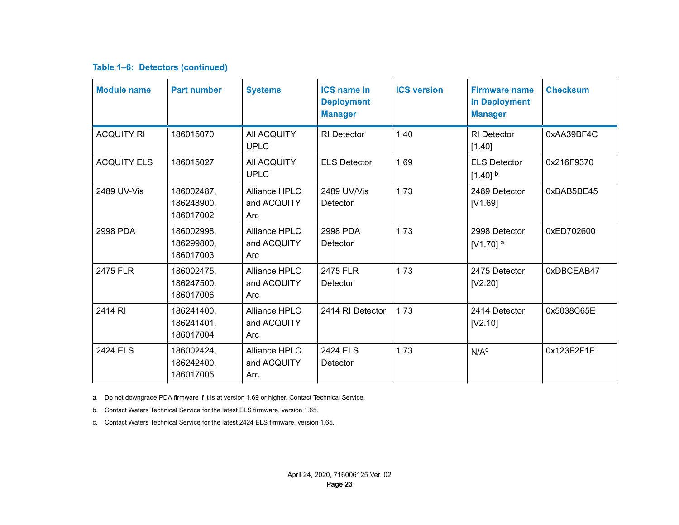#### <span id="page-22-0"></span>**Table 1–6: Detectors (continued)**

| <b>Module name</b> | <b>Part number</b>                    | <b>Systems</b>                      | <b>ICS name in</b><br><b>Deployment</b><br><b>Manager</b> | <b>ICS version</b> | <b>Firmware name</b><br>in Deployment<br><b>Manager</b> | <b>Checksum</b> |
|--------------------|---------------------------------------|-------------------------------------|-----------------------------------------------------------|--------------------|---------------------------------------------------------|-----------------|
| <b>ACQUITY RI</b>  | 186015070                             | All ACQUITY<br><b>UPLC</b>          | <b>RI</b> Detector                                        | 1.40               | <b>RI</b> Detector<br>[1.40]                            | 0xAA39BF4C      |
| <b>ACQUITY ELS</b> | 186015027                             | All ACQUITY<br><b>UPLC</b>          | <b>ELS Detector</b>                                       | 1.69               | <b>ELS Detector</b><br>$[1.40]$ <sup>b</sup>            | 0x216F9370      |
| 2489 UV-Vis        | 186002487,<br>186248900.<br>186017002 | Alliance HPLC<br>and ACQUITY<br>Arc | 2489 UV/Vis<br>Detector                                   | 1.73               | 2489 Detector<br>[V1.69]                                | 0xBAB5BE45      |
| 2998 PDA           | 186002998,<br>186299800,<br>186017003 | Alliance HPLC<br>and ACQUITY<br>Arc | 2998 PDA<br>Detector                                      | 1.73               | 2998 Detector<br>[V1.70] $^a$                           | 0xED702600      |
| 2475 FLR           | 186002475,<br>186247500,<br>186017006 | Alliance HPLC<br>and ACQUITY<br>Arc | 2475 FLR<br>Detector                                      | 1.73               | 2475 Detector<br>[V2.20]                                | 0xDBCEAB47      |
| 2414 RI            | 186241400,<br>186241401,<br>186017004 | Alliance HPLC<br>and ACQUITY<br>Arc | 2414 RI Detector                                          | 1.73               | 2414 Detector<br>[V2.10]                                | 0x5038C65E      |
| 2424 ELS           | 186002424,<br>186242400,<br>186017005 | Alliance HPLC<br>and ACQUITY<br>Arc | 2424 ELS<br>Detector                                      | 1.73               | N/A <sup>c</sup>                                        | 0x123F2F1E      |

a. Do not downgrade PDA firmware if it is at version 1.69 or higher. Contact Technical Service.

b. Contact Waters Technical Service for the latest ELS firmware, version 1.65.

c. Contact Waters Technical Service for the latest 2424 ELS firmware, version 1.65.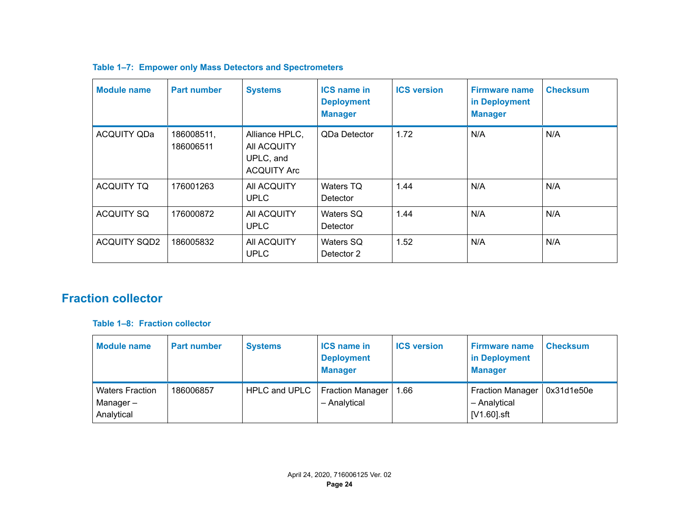| Module name         | <b>Part number</b>      | <b>Systems</b>                                                   | <b>ICS name in</b><br><b>Deployment</b><br><b>Manager</b> | <b>ICS version</b> | <b>Firmware name</b><br>in Deployment<br><b>Manager</b> | <b>Checksum</b> |
|---------------------|-------------------------|------------------------------------------------------------------|-----------------------------------------------------------|--------------------|---------------------------------------------------------|-----------------|
| <b>ACQUITY QDa</b>  | 186008511,<br>186006511 | Alliance HPLC,<br>All ACQUITY<br>UPLC, and<br><b>ACQUITY Arc</b> | QDa Detector                                              | 1.72               | N/A                                                     | N/A             |
| <b>ACQUITY TQ</b>   | 176001263               | All ACQUITY<br><b>UPLC</b>                                       | Waters TQ<br>Detector                                     | 1.44               | N/A                                                     | N/A             |
| <b>ACQUITY SQ</b>   | 176000872               | All ACQUITY<br><b>UPLC</b>                                       | Waters SQ<br>Detector                                     | 1.44               | N/A                                                     | N/A             |
| <b>ACQUITY SQD2</b> | 186005832               | All ACQUITY<br><b>UPLC</b>                                       | Waters SQ<br>Detector 2                                   | 1.52               | N/A                                                     | N/A             |

### <span id="page-23-0"></span>**Table 1–7: Empower only Mass Detectors and Spectrometers**

# **Fraction collector**

#### **Table 1–8: Fraction collector**

| <b>Module name</b>                               | <b>Part number</b> | <b>Systems</b> | <b>ICS name in</b><br><b>Deployment</b><br><b>Manager</b> | <b>ICS version</b> | <b>Firmware name</b><br>in Deployment<br><b>Manager</b> | <b>Checksum</b> |
|--------------------------------------------------|--------------------|----------------|-----------------------------------------------------------|--------------------|---------------------------------------------------------|-----------------|
| <b>Waters Fraction</b><br>Manager-<br>Analytical | 186006857          | HPLC and UPLC  | <b>Fraction Manager</b><br>- Analytical                   | 1.66               | Fraction Manager<br>- Analytical<br>[V1.60].sft         | 0x31d1e50e      |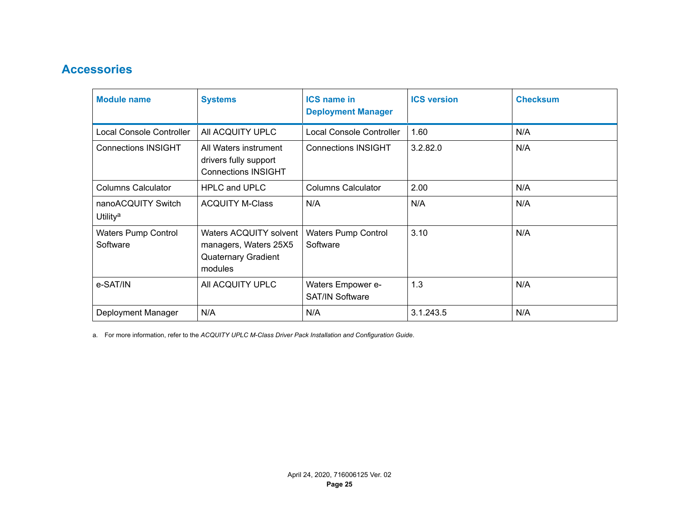# <span id="page-24-0"></span>**Accessories**

| <b>Module name</b>                         | <b>Systems</b>                                                                           | <b>ICS name in</b><br><b>Deployment Manager</b> | <b>ICS version</b> | <b>Checksum</b> |
|--------------------------------------------|------------------------------------------------------------------------------------------|-------------------------------------------------|--------------------|-----------------|
| <b>Local Console Controller</b>            | All ACQUITY UPLC                                                                         | <b>Local Console Controller</b>                 | 1.60               | N/A             |
| <b>Connections INSIGHT</b>                 | All Waters instrument<br>drivers fully support<br><b>Connections INSIGHT</b>             | <b>Connections INSIGHT</b>                      | 3.2.82.0           | N/A             |
| <b>Columns Calculator</b>                  | <b>HPLC and UPLC</b>                                                                     | <b>Columns Calculator</b>                       | 2.00               | N/A             |
| nanoACQUITY Switch<br>Utility <sup>a</sup> | <b>ACQUITY M-Class</b>                                                                   | N/A                                             | N/A                | N/A             |
| <b>Waters Pump Control</b><br>Software     | Waters ACQUITY solvent<br>managers, Waters 25X5<br><b>Quaternary Gradient</b><br>modules | <b>Waters Pump Control</b><br>Software          | 3.10               | N/A             |
| e-SAT/IN                                   | All ACQUITY UPLC                                                                         | Waters Empower e-<br><b>SAT/IN Software</b>     | 1.3                | N/A             |
| Deployment Manager                         | N/A                                                                                      | N/A                                             | 3.1.243.5          | N/A             |

a. For more information, refer to the *ACQUITY UPLC M-Class Driver Pack Installation and Configuration Guide*.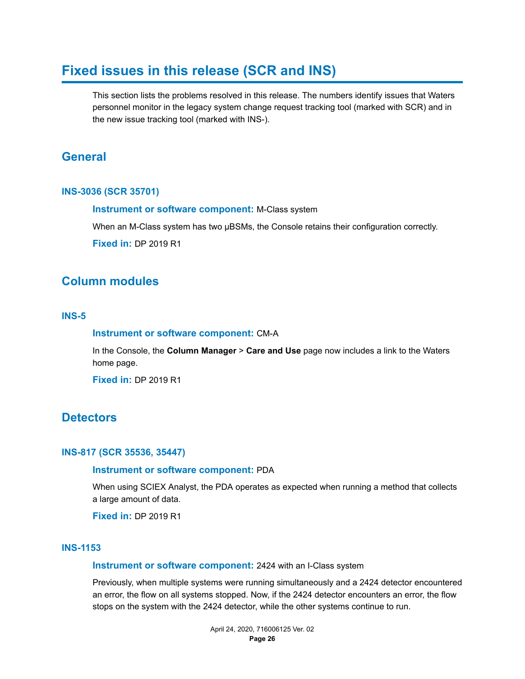# <span id="page-25-0"></span>**Fixed issues in this release (SCR and INS)**

This section lists the problems resolved in this release. The numbers identify issues that Waters personnel monitor in the legacy system change request tracking tool (marked with SCR) and in the new issue tracking tool (marked with INS-).

# **General**

#### **INS-3036 (SCR 35701)**

**Instrument or software component:** M-Class system

When an M-Class system has two µBSMs, the Console retains their configuration correctly.

**Fixed in:** DP 2019 R1

## **Column modules**

#### **INS-5**

#### **Instrument or software component:** CM-A

In the Console, the **Column Manager** > **Care and Use** page now includes a link to the Waters home page.

**Fixed in:** DP 2019 R1

### **Detectors**

#### **INS-817 (SCR 35536, 35447)**

#### **Instrument or software component:** PDA

When using SCIEX Analyst, the PDA operates as expected when running a method that collects a large amount of data.

**Fixed in:** DP 2019 R1

#### **INS-1153**

#### **Instrument or software component:** 2424 with an I-Class system

Previously, when multiple systems were running simultaneously and a 2424 detector encountered an error, the flow on all systems stopped. Now, if the 2424 detector encounters an error, the flow stops on the system with the 2424 detector, while the other systems continue to run.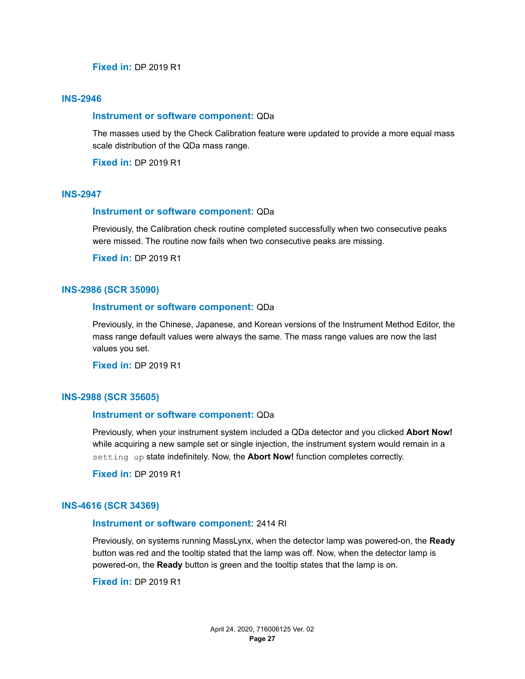#### **Fixed in:** DP 2019 R1

#### **INS-2946**

#### **Instrument or software component:** QDa

The masses used by the Check Calibration feature were updated to provide a more equal mass scale distribution of the QDa mass range.

**Fixed in:** DP 2019 R1

#### **INS-2947**

#### **Instrument or software component:** QDa

Previously, the Calibration check routine completed successfully when two consecutive peaks were missed. The routine now fails when two consecutive peaks are missing.

**Fixed in:** DP 2019 R1

#### **INS-2986 (SCR 35090)**

#### **Instrument or software component:** QDa

Previously, in the Chinese, Japanese, and Korean versions of the Instrument Method Editor, the mass range default values were always the same. The mass range values are now the last values you set.

**Fixed in:** DP 2019 R1

#### **INS-2988 (SCR 35605)**

#### **Instrument or software component:** QDa

Previously, when your instrument system included a QDa detector and you clicked **Abort Now!** while acquiring a new sample set or single injection, the instrument system would remain in a setting up state indefinitely. Now, the **Abort Now!** function completes correctly.

**Fixed in:** DP 2019 R1

#### **INS-4616 (SCR 34369)**

#### **Instrument or software component:** 2414 RI

Previously, on systems running MassLynx, when the detector lamp was powered-on, the **Ready** button was red and the tooltip stated that the lamp was off. Now, when the detector lamp is powered-on, the **Ready** button is green and the tooltip states that the lamp is on.

**Fixed in:** DP 2019 R1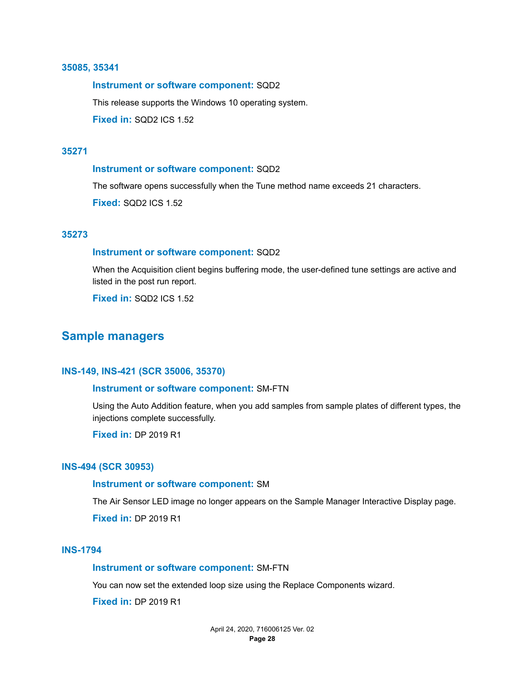#### <span id="page-27-0"></span>**35085, 35341**

#### **Instrument or software component:** SQD2

This release supports the Windows 10 operating system.

**Fixed in:** SQD2 ICS 1.52

#### **35271**

#### **Instrument or software component:** SQD2

The software opens successfully when the Tune method name exceeds 21 characters.

**Fixed:** SQD2 ICS 1.52

#### **35273**

#### **Instrument or software component:** SQD2

When the Acquisition client begins buffering mode, the user-defined tune settings are active and listed in the post run report.

**Fixed in:** SQD2 ICS 1.52

## **Sample managers**

#### **INS-149, INS-421 (SCR 35006, 35370)**

#### **Instrument or software component:** SM-FTN

Using the Auto Addition feature, when you add samples from sample plates of different types, the injections complete successfully.

**Fixed in:** DP 2019 R1

#### **INS-494 (SCR 30953)**

#### **Instrument or software component:** SM

The Air Sensor LED image no longer appears on the Sample Manager Interactive Display page.

**Fixed in:** DP 2019 R1

#### **INS-1794**

#### **Instrument or software component:** SM-FTN

You can now set the extended loop size using the Replace Components wizard.

**Fixed in:** DP 2019 R1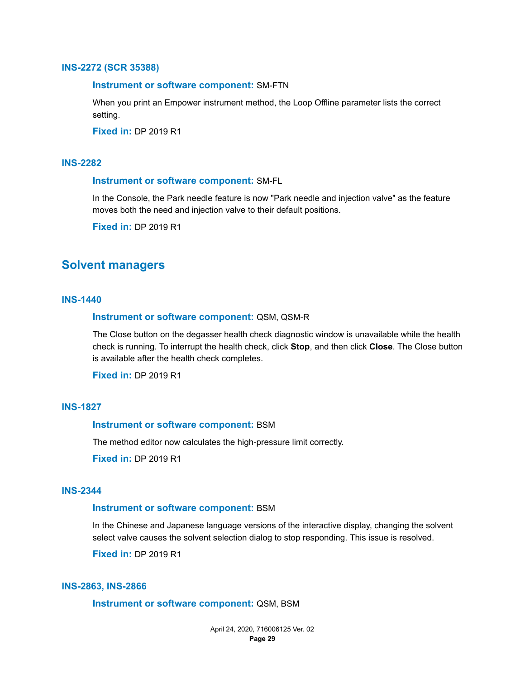#### <span id="page-28-0"></span>**INS-2272 (SCR 35388)**

#### **Instrument or software component:** SM-FTN

When you print an Empower instrument method, the Loop Offline parameter lists the correct setting.

**Fixed in:** DP 2019 R1

#### **INS-2282**

#### **Instrument or software component:** SM-FL

In the Console, the Park needle feature is now "Park needle and injection valve" as the feature moves both the need and injection valve to their default positions.

**Fixed in:** DP 2019 R1

### **Solvent managers**

#### **INS-1440**

#### **Instrument or software component:** QSM, QSM-R

The Close button on the degasser health check diagnostic window is unavailable while the health check is running. To interrupt the health check, click **Stop**, and then click **Close**. The Close button is available after the health check completes.

**Fixed in:** DP 2019 R1

#### **INS-1827**

#### **Instrument or software component:** BSM

The method editor now calculates the high-pressure limit correctly.

**Fixed in:** DP 2019 R1

#### **INS-2344**

#### **Instrument or software component:** BSM

In the Chinese and Japanese language versions of the interactive display, changing the solvent select valve causes the solvent selection dialog to stop responding. This issue is resolved.

**Fixed in:** DP 2019 R1

#### **INS-2863, INS-2866**

#### **Instrument or software component:** QSM, BSM

April 24, 2020, 716006125 Ver. 02 **Page 29**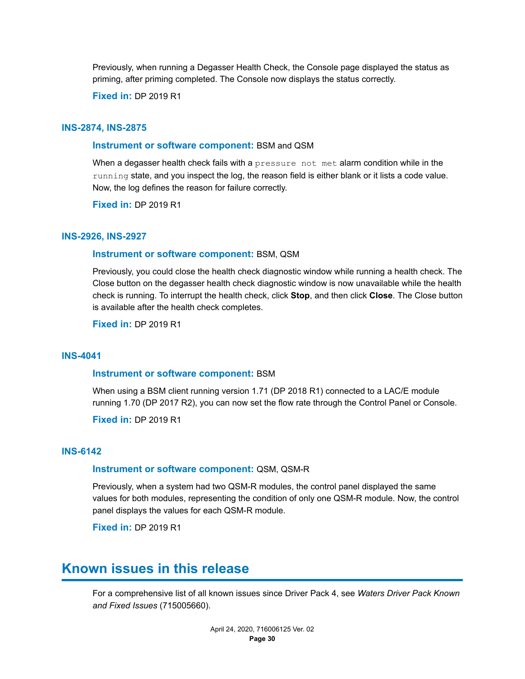<span id="page-29-0"></span>Previously, when running a Degasser Health Check, the Console page displayed the status as priming, after priming completed. The Console now displays the status correctly.

**Fixed in:** DP 2019 R1

#### **INS-2874, INS-2875**

#### **Instrument or software component:** BSM and QSM

When a degasser health check fails with a pressure not met alarm condition while in the running state, and you inspect the log, the reason field is either blank or it lists a code value. Now, the log defines the reason for failure correctly.

**Fixed in:** DP 2019 R1

#### **INS-2926, INS-2927**

#### **Instrument or software component:** BSM, QSM

Previously, you could close the health check diagnostic window while running a health check. The Close button on the degasser health check diagnostic window is now unavailable while the health check is running. To interrupt the health check, click **Stop**, and then click **Close**. The Close button is available after the health check completes.

**Fixed in:** DP 2019 R1

#### **INS-4041**

#### **Instrument or software component:** BSM

When using a BSM client running version 1.71 (DP 2018 R1) connected to a LAC/E module running 1.70 (DP 2017 R2), you can now set the flow rate through the Control Panel or Console.

**Fixed in:** DP 2019 R1

#### **INS-6142**

#### **Instrument or software component:** QSM, QSM-R

Previously, when a system had two QSM-R modules, the control panel displayed the same values for both modules, representing the condition of only one QSM-R module. Now, the control panel displays the values for each QSM-R module.

**Fixed in:** DP 2019 R1

# **Known issues in this release**

For a comprehensive list of all known issues since Driver Pack 4, see *Waters Driver Pack Known and Fixed Issues* (715005660).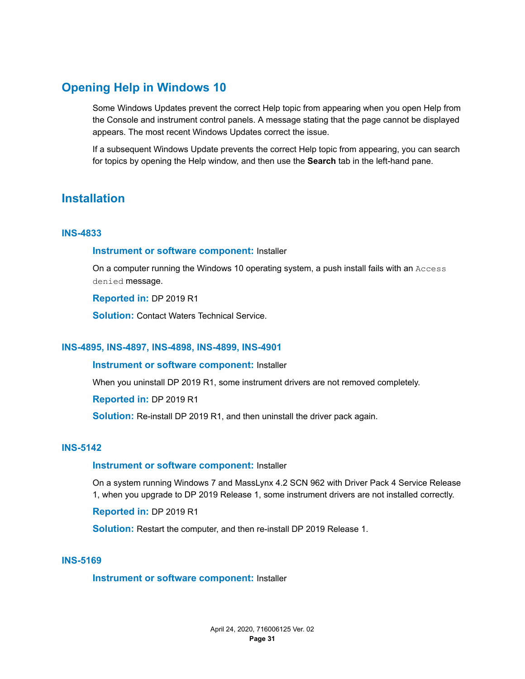# <span id="page-30-0"></span>**Opening Help in Windows 10**

Some Windows Updates prevent the correct Help topic from appearing when you open Help from the Console and instrument control panels. A message stating that the page cannot be displayed appears. The most recent Windows Updates correct the issue.

If a subsequent Windows Update prevents the correct Help topic from appearing, you can search for topics by opening the Help window, and then use the **Search** tab in the left-hand pane.

# **Installation**

#### **INS-4833**

#### **Instrument or software component:** Installer

On a computer running the Windows 10 operating system, a push install fails with an Access denied message.

**Reported in:** DP 2019 R1

**Solution:** Contact Waters Technical Service.

#### **INS-4895, INS-4897, INS-4898, INS-4899, INS-4901**

#### **Instrument or software component:** Installer

When you uninstall DP 2019 R1, some instrument drivers are not removed completely.

**Reported in:** DP 2019 R1

**Solution:** Re-install DP 2019 R1, and then uninstall the driver pack again.

#### **INS-5142**

#### **Instrument or software component:** Installer

On a system running Windows 7 and MassLynx 4.2 SCN 962 with Driver Pack 4 Service Release 1, when you upgrade to DP 2019 Release 1, some instrument drivers are not installed correctly.

**Reported in:** DP 2019 R1

**Solution:** Restart the computer, and then re-install DP 2019 Release 1.

#### **INS-5169**

**Instrument or software component:** Installer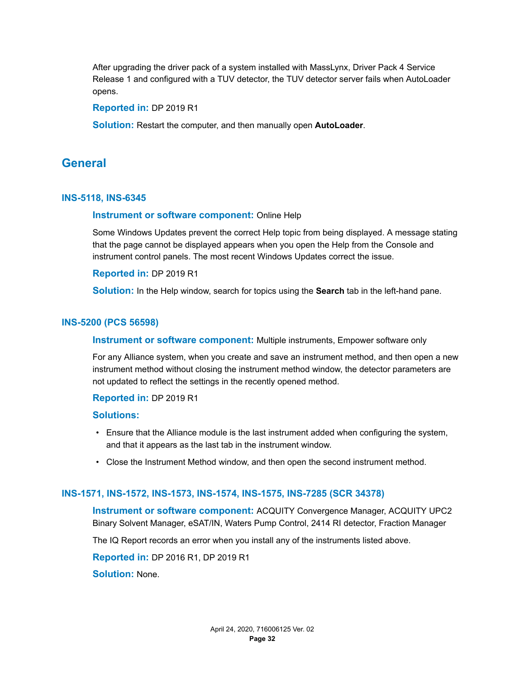<span id="page-31-0"></span>After upgrading the driver pack of a system installed with MassLynx, Driver Pack 4 Service Release 1 and configured with a TUV detector, the TUV detector server fails when AutoLoader opens.

#### **Reported in:** DP 2019 R1

**Solution:** Restart the computer, and then manually open **AutoLoader**.

### **General**

#### **INS-5118, INS-6345**

#### **Instrument or software component:** Online Help

Some Windows Updates prevent the correct Help topic from being displayed. A message stating that the page cannot be displayed appears when you open the Help from the Console and instrument control panels. The most recent Windows Updates correct the issue.

#### **Reported in:** DP 2019 R1

**Solution:** In the Help window, search for topics using the **Search** tab in the left-hand pane.

#### **INS-5200 (PCS 56598)**

#### **Instrument or software component:** Multiple instruments, Empower software only

For any Alliance system, when you create and save an instrument method, and then open a new instrument method without closing the instrument method window, the detector parameters are not updated to reflect the settings in the recently opened method.

#### **Reported in:** DP 2019 R1

#### **Solutions:**

- Ensure that the Alliance module is the last instrument added when configuring the system, and that it appears as the last tab in the instrument window.
- Close the Instrument Method window, and then open the second instrument method.

#### **INS-1571, INS-1572, INS-1573, INS-1574, INS-1575, INS-7285 (SCR 34378)**

**Instrument or software component:** ACQUITY Convergence Manager, ACQUITY UPC2 Binary Solvent Manager, eSAT/IN, Waters Pump Control, 2414 RI detector, Fraction Manager

The IQ Report records an error when you install any of the instruments listed above.

**Reported in:** DP 2016 R1, DP 2019 R1

**Solution:** None.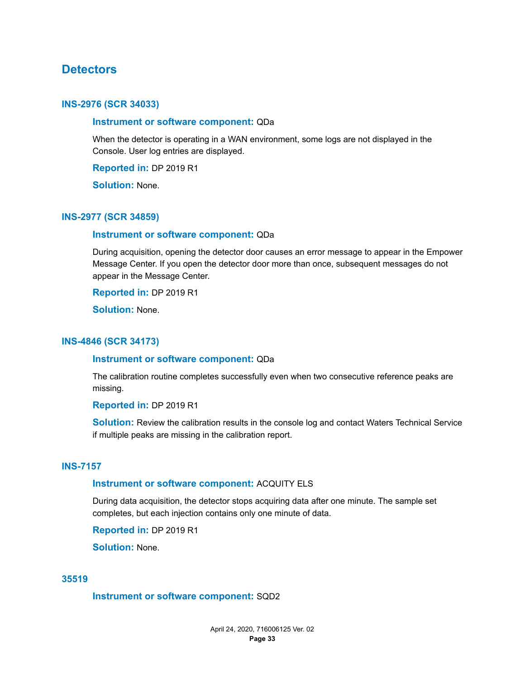### <span id="page-32-0"></span>**Detectors**

#### **INS-2976 (SCR 34033)**

#### **Instrument or software component:** QDa

When the detector is operating in a WAN environment, some logs are not displayed in the Console. User log entries are displayed.

**Reported in:** DP 2019 R1

**Solution:** None.

#### **INS-2977 (SCR 34859)**

#### **Instrument or software component:** QDa

During acquisition, opening the detector door causes an error message to appear in the Empower Message Center. If you open the detector door more than once, subsequent messages do not appear in the Message Center.

**Reported in:** DP 2019 R1

**Solution:** None.

#### **INS-4846 (SCR 34173)**

#### **Instrument or software component:** QDa

The calibration routine completes successfully even when two consecutive reference peaks are missing.

**Reported in:** DP 2019 R1

**Solution:** Review the calibration results in the console log and contact Waters Technical Service if multiple peaks are missing in the calibration report.

#### **INS-7157**

#### **Instrument or software component:** ACQUITY ELS

During data acquisition, the detector stops acquiring data after one minute. The sample set completes, but each injection contains only one minute of data.

**Reported in:** DP 2019 R1

**Solution:** None.

#### **35519**

#### **Instrument or software component:** SQD2

April 24, 2020, 716006125 Ver. 02 **Page 33**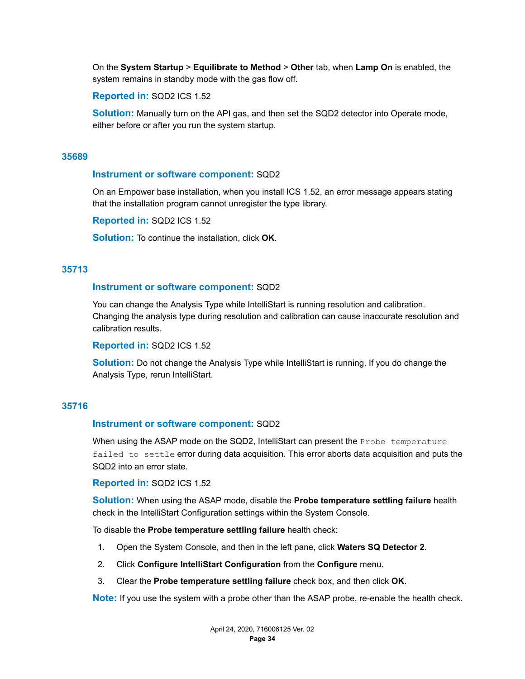On the **System Startup** > **Equilibrate to Method** > **Other** tab, when **Lamp On** is enabled, the system remains in standby mode with the gas flow off.

#### **Reported in:** SQD2 ICS 1.52

**Solution:** Manually turn on the API gas, and then set the SQD2 detector into Operate mode, either before or after you run the system startup.

#### **35689**

#### **Instrument or software component:** SQD2

On an Empower base installation, when you install ICS 1.52, an error message appears stating that the installation program cannot unregister the type library.

**Reported in:** SQD2 ICS 1.52

**Solution:** To continue the installation, click **OK**.

#### **35713**

#### **Instrument or software component:** SQD2

You can change the Analysis Type while IntelliStart is running resolution and calibration. Changing the analysis type during resolution and calibration can cause inaccurate resolution and calibration results.

**Reported in:** SQD2 ICS 1.52

**Solution:** Do not change the Analysis Type while IntelliStart is running. If you do change the Analysis Type, rerun IntelliStart.

#### **35716**

#### **Instrument or software component:** SQD2

When using the ASAP mode on the SQD2, IntelliStart can present the Probe temperature failed to settle error during data acquisition. This error aborts data acquisition and puts the SQD2 into an error state.

#### **Reported in:** SQD2 ICS 1.52

**Solution:** When using the ASAP mode, disable the **Probe temperature settling failure** health check in the IntelliStart Configuration settings within the System Console.

To disable the **Probe temperature settling failure** health check:

- 1. Open the System Console, and then in the left pane, click **Waters SQ Detector 2**.
- 2. Click **Configure IntelliStart Configuration** from the **Configure** menu.
- 3. Clear the **Probe temperature settling failure** check box, and then click **OK**.

**Note:** If you use the system with a probe other than the ASAP probe, re-enable the health check.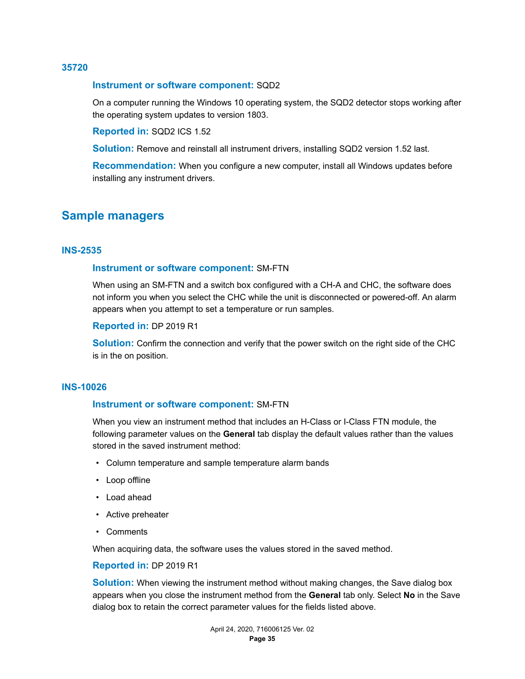#### <span id="page-34-0"></span>**35720**

#### **Instrument or software component:** SQD2

On a computer running the Windows 10 operating system, the SQD2 detector stops working after the operating system updates to version 1803.

#### **Reported in:** SQD2 ICS 1.52

**Solution:** Remove and reinstall all instrument drivers, installing SQD2 version 1.52 last.

**Recommendation:** When you configure a new computer, install all Windows updates before installing any instrument drivers.

### **Sample managers**

#### **INS-2535**

#### **Instrument or software component:** SM-FTN

When using an SM-FTN and a switch box configured with a CH-A and CHC, the software does not inform you when you select the CHC while the unit is disconnected or powered-off. An alarm appears when you attempt to set a temperature or run samples.

#### **Reported in:** DP 2019 R1

**Solution:** Confirm the connection and verify that the power switch on the right side of the CHC is in the on position.

#### **INS-10026**

#### **Instrument or software component:** SM-FTN

When you view an instrument method that includes an H-Class or I-Class FTN module, the following parameter values on the **General** tab display the default values rather than the values stored in the saved instrument method:

- Column temperature and sample temperature alarm bands
- Loop offline
- Load ahead
- Active preheater
- Comments

When acquiring data, the software uses the values stored in the saved method.

#### **Reported in:** DP 2019 R1

**Solution:** When viewing the instrument method without making changes, the Save dialog box appears when you close the instrument method from the **General** tab only. Select **No** in the Save dialog box to retain the correct parameter values for the fields listed above.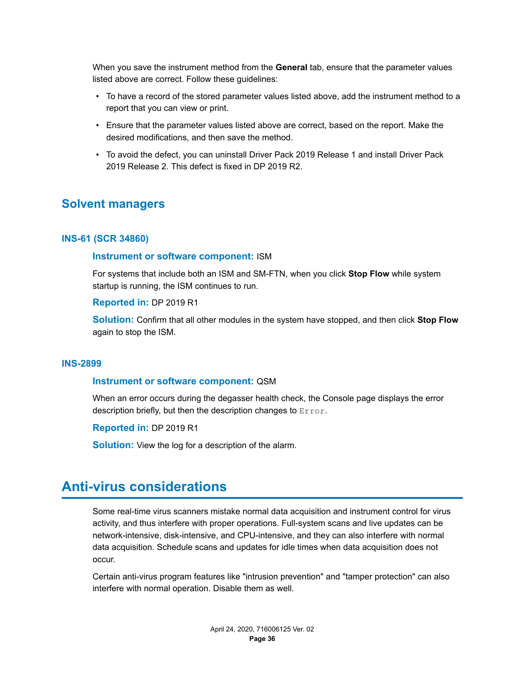<span id="page-35-0"></span>When you save the instrument method from the **General** tab, ensure that the parameter values listed above are correct. Follow these guidelines:

- To have a record of the stored parameter values listed above, add the instrument method to a report that you can view or print.
- Ensure that the parameter values listed above are correct, based on the report. Make the desired modifications, and then save the method.
- To avoid the defect, you can uninstall Driver Pack 2019 Release 1 and install Driver Pack 2019 Release 2. This defect is fixed in DP 2019 R2.

## **Solvent managers**

#### **INS-61 (SCR 34860)**

#### **Instrument or software component:** ISM

For systems that include both an ISM and SM-FTN, when you click **Stop Flow** while system startup is running, the ISM continues to run.

#### **Reported in:** DP 2019 R1

**Solution:** Confirm that all other modules in the system have stopped, and then click **Stop Flow** again to stop the ISM.

#### **INS-2899**

#### **Instrument or software component:** QSM

When an error occurs during the degasser health check, the Console page displays the error description briefly, but then the description changes to Error.

**Reported in:** DP 2019 R1

**Solution:** View the log for a description of the alarm.

# **Anti-virus considerations**

Some real-time virus scanners mistake normal data acquisition and instrument control for virus activity, and thus interfere with proper operations. Full-system scans and live updates can be network-intensive, disk-intensive, and CPU-intensive, and they can also interfere with normal data acquisition. Schedule scans and updates for idle times when data acquisition does not occur.

Certain anti-virus program features like "intrusion prevention" and "tamper protection" can also interfere with normal operation. Disable them as well.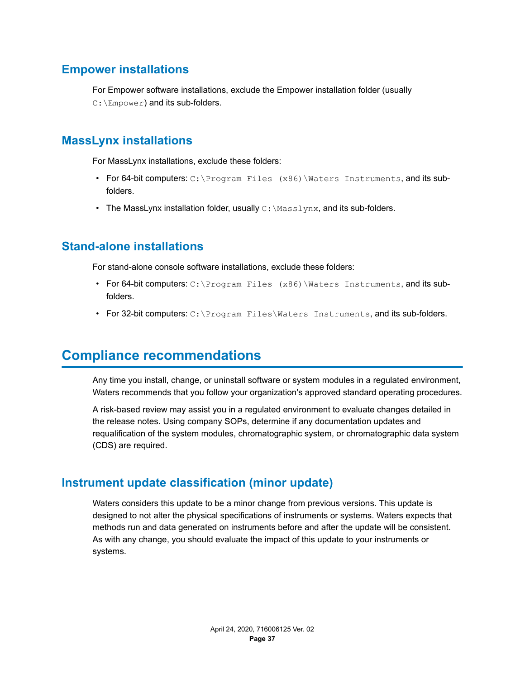# <span id="page-36-0"></span>**Empower installations**

For Empower software installations, exclude the Empower installation folder (usually C: \Empower) and its sub-folders.

# **MassLynx installations**

For MassLynx installations, exclude these folders:

- For 64-bit computers: C: \Program Files (x86) \Waters Instruments, and its subfolders.
- The MassLynx installation folder, usually  $C:\MassLynx$ , and its sub-folders.

# **Stand-alone installations**

For stand-alone console software installations, exclude these folders:

- For 64-bit computers: C:\Program Files (x86)\Waters Instruments, and its subfolders.
- For 32-bit computers: C:\Program Files\Waters Instruments, and its sub-folders.

# **Compliance recommendations**

Any time you install, change, or uninstall software or system modules in a regulated environment, Waters recommends that you follow your organization's approved standard operating procedures.

A risk-based review may assist you in a regulated environment to evaluate changes detailed in the release notes. Using company SOPs, determine if any documentation updates and requalification of the system modules, chromatographic system, or chromatographic data system (CDS) are required.

# **Instrument update classification (minor update)**

Waters considers this update to be a minor change from previous versions. This update is designed to not alter the physical specifications of instruments or systems. Waters expects that methods run and data generated on instruments before and after the update will be consistent. As with any change, you should evaluate the impact of this update to your instruments or systems.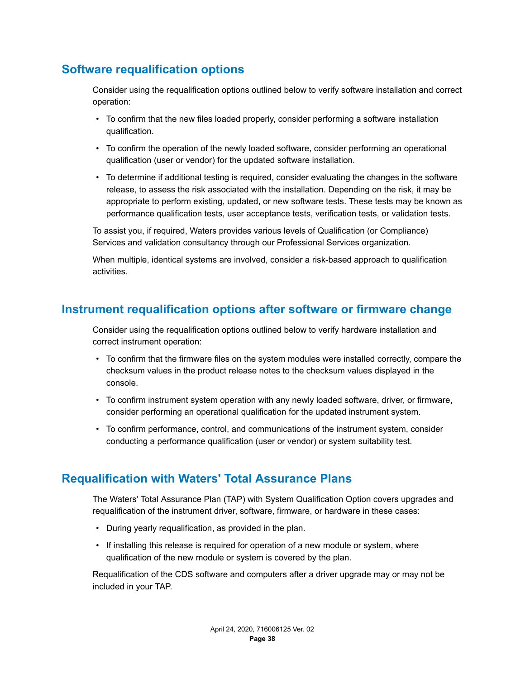# <span id="page-37-0"></span>**Software requalification options**

Consider using the requalification options outlined below to verify software installation and correct operation:

- To confirm that the new files loaded properly, consider performing a software installation qualification.
- To confirm the operation of the newly loaded software, consider performing an operational qualification (user or vendor) for the updated software installation.
- To determine if additional testing is required, consider evaluating the changes in the software release, to assess the risk associated with the installation. Depending on the risk, it may be appropriate to perform existing, updated, or new software tests. These tests may be known as performance qualification tests, user acceptance tests, verification tests, or validation tests.

To assist you, if required, Waters provides various levels of Qualification (or Compliance) Services and validation consultancy through our Professional Services organization.

When multiple, identical systems are involved, consider a risk-based approach to qualification activities.

# **Instrument requalification options after software or firmware change**

Consider using the requalification options outlined below to verify hardware installation and correct instrument operation:

- To confirm that the firmware files on the system modules were installed correctly, compare the checksum values in the product release notes to the checksum values displayed in the console.
- To confirm instrument system operation with any newly loaded software, driver, or firmware, consider performing an operational qualification for the updated instrument system.
- To confirm performance, control, and communications of the instrument system, consider conducting a performance qualification (user or vendor) or system suitability test.

# **Requalification with Waters' Total Assurance Plans**

The Waters' Total Assurance Plan (TAP) with System Qualification Option covers upgrades and requalification of the instrument driver, software, firmware, or hardware in these cases:

- During yearly requalification, as provided in the plan.
- If installing this release is required for operation of a new module or system, where qualification of the new module or system is covered by the plan.

Requalification of the CDS software and computers after a driver upgrade may or may not be included in your TAP.